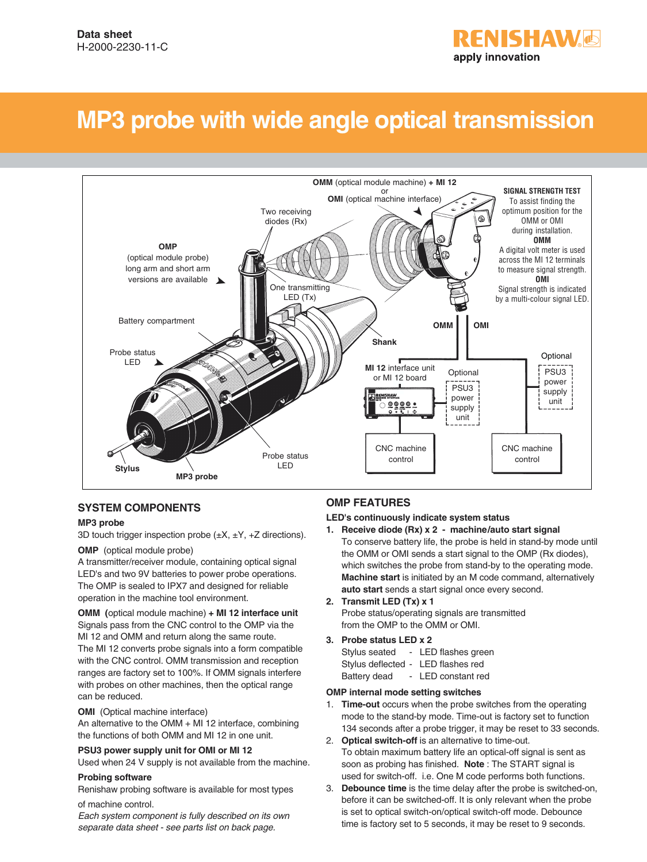# **RENISHAW&** apply innovation

# **MP3 probe with wide angle optical transmission**



### **SYSTEM COMPONENTS**

#### **MP3 probe**

3D touch trigger inspection probe  $(\pm X, \pm Y, +Z)$  directions).

#### **OMP** (optical module probe)

A transmitter/receiver module, containing optical signal LED's and two 9V batteries to power probe operations. The OMP is sealed to IPX7 and designed for reliable operation in the machine tool environment.

**OMM (**optical module machine) **+ MI 12 interface unit** Signals pass from the CNC control to the OMP via the MI 12 and OMM and return along the same route. The MI 12 converts probe signals into a form compatible with the CNC control. OMM transmission and reception ranges are factory set to 100%. If OMM signals interfere with probes on other machines, then the optical range can be reduced.

#### **OMI** (Optical machine interface)

An alternative to the OMM + MI 12 interface, combining the functions of both OMM and MI 12 in one unit.

#### **PSU3 power supply unit for OMI or MI 12**

Used when 24 V supply is not available from the machine.

#### **Probing software**

Renishaw probing software is available for most types of machine control.

Each system component is fully described on its own separate data sheet - see parts list on back page.

## **OMP FEATURES**

#### **LED's continuously indicate system status**

- **1. Receive diode (Rx) x 2 machine/auto start signal** To conserve battery life, the probe is held in stand-by mode until the OMM or OMI sends a start signal to the OMP (Rx diodes), which switches the probe from stand-by to the operating mode. **Machine start** is initiated by an M code command, alternatively **auto start** sends a start signal once every second.
- **2. Transmit LED (Tx) x 1** Probe status/operating signals are transmitted from the OMP to the OMM or OMI.
- **3. Probe status LED x 2**

| Stylus seated      | LED flashes green |
|--------------------|-------------------|
| Stylus deflected - | LED flashes red   |
|                    |                   |

## Battery dead - LED constant red

#### **OMP internal mode setting switches**

- 1. **Time-out** occurs when the probe switches from the operating mode to the stand-by mode. Time-out is factory set to function 134 seconds after a probe trigger, it may be reset to 33 seconds.
- 2. **Optical switch-off** is an alternative to time-out. To obtain maximum battery life an optical-off signal is sent as soon as probing has finished. **Note** : The START signal is used for switch-off. i.e. One M code performs both functions.
- 3. **Debounce time** is the time delay after the probe is switched-on, before it can be switched-off. It is only relevant when the probe is set to optical switch-on/optical switch-off mode. Debounce time is factory set to 5 seconds, it may be reset to 9 seconds.